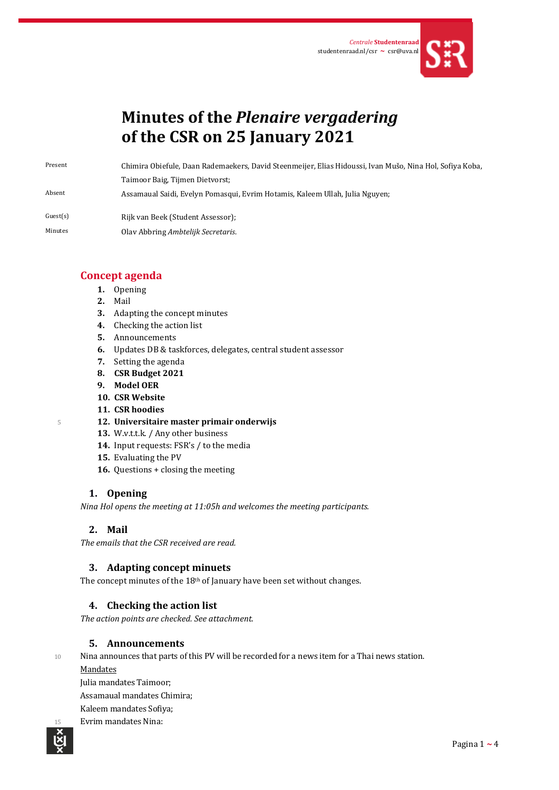

# **Minutes of the** *Plenaire vergadering* **of the CSR on 25 January 2021**

Present Chimira Obiefule, Daan Rademaekers, David Steenmeijer, Elias Hidoussi, Ivan Mušo, Nina Hol, Sofiya Koba,

Taimoor Baig, Tijmen Dietvorst;

Absent Assamaual Saidi, Evelyn Pomasqui, Evrim Hotamis, Kaleem Ullah, Julia Nguyen;

- Guest(s) Rijk van Beek (Student Assessor);
- Minutes Olav Abbring *Ambtelijk Secretaris*.

# **Concept agenda**

- **1.** Opening
- **2.** Mail
- **3.** Adapting the concept minutes
- **4.** Checking the action list
- **5.** Announcements
- **6.** Updates DB & taskforces, delegates, central student assessor
- **7.** Setting the agenda
- **8. CSR Budget 2021**
- **9. Model OER**
- **10. CSR Website**
- **11. CSR hoodies**
- <sup>5</sup> **12. Universitaire master primair onderwijs**
	- 13. W.v.t.t.k. / Any other business
	- **14.** Input requests: FSR's / to the media
	- **15.** Evaluating the PV
	- **16.** Questions + closing the meeting

# **1. Opening**

*Nina Hol opens the meeting at 11:05h and welcomes the meeting participants.* 

# **2. Mail**

*The emails that the CSR received are read.*

## **3. Adapting concept minuets**

The concept minutes of the 18th of January have been set without changes.

## **4. Checking the action list**

*The action points are checked. See attachment.*

## **5. Announcements**

10 Nina announces that parts of this PV will be recorded for a news item for a Thai news station.

**Mandates** 

Julia mandates Taimoor;

Assamaual mandates Chimira;

Kaleem mandates Sofiya;

Evrim mandates Nina:

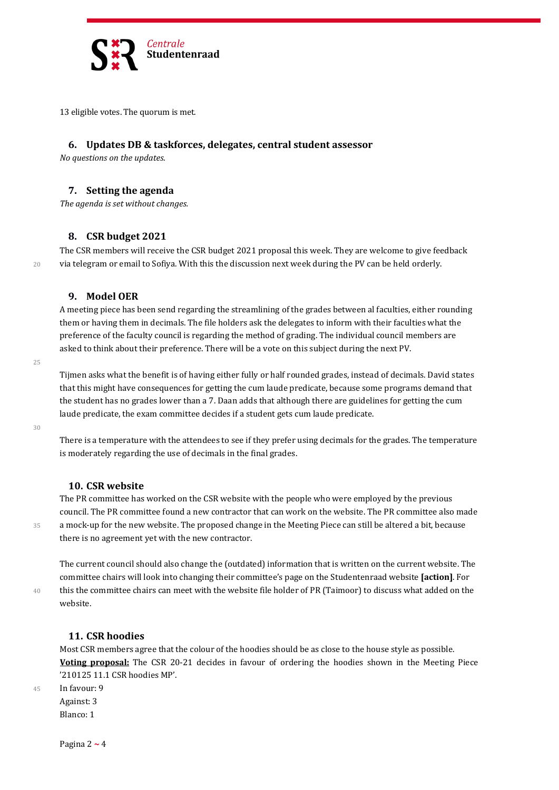

13 eligible votes. The quorum is met.

#### **6. Updates DB & taskforces, delegates, central student assessor**

*No questions on the updates*.

### **7. Setting the agenda**

*The agenda is set without changes.*

#### **8. CSR budget 2021**

The CSR members will receive the CSR budget 2021 proposal this week. They are welcome to give feedback 20 via telegram or email to Sofiya. With this the discussion next week during the PV can be held orderly.

## **9. Model OER**

A meeting piece has been send regarding the streamlining of the grades between al faculties, either rounding them or having them in decimals. The file holders ask the delegates to inform with their faculties what the preference of the faculty council is regarding the method of grading. The individual council members are asked to think about their preference. There will be a vote on this subject during the next PV.

 $25$ 

Tijmen asks what the benefit is of having either fully or half rounded grades, instead of decimals. David states that this might have consequences for getting the cum laude predicate, because some programs demand that the student has no grades lower than a 7. Daan adds that although there are guidelines for getting the cum laude predicate, the exam committee decides if a student gets cum laude predicate.

30

There is a temperature with the attendees to see if they prefer using decimals for the grades. The temperature is moderately regarding the use of decimals in the final grades.

#### **10. CSR website**

The PR committee has worked on the CSR website with the people who were employed by the previous council. The PR committee found a new contractor that can work on the website. The PR committee also made 35 a mock-up for the new website. The proposed change in the Meeting Piece can still be altered a bit, because there is no agreement yet with the new contractor.

The current council should also change the (outdated) information that is written on the current website. The committee chairs will look into changing their committee's page on the Studentenraad website **[action]**. For 40 this the committee chairs can meet with the website file holder of PR (Taimoor) to discuss what added on the website.

## **11. CSR hoodies**

Most CSR members agree that the colour of the hoodies should be as close to the house style as possible. **Voting proposal:** The CSR 20-21 decides in favour of ordering the hoodies shown in the Meeting Piece '210125 11.1 CSR hoodies MP'.

45 In favour: 9 Against: 3 Blanco: 1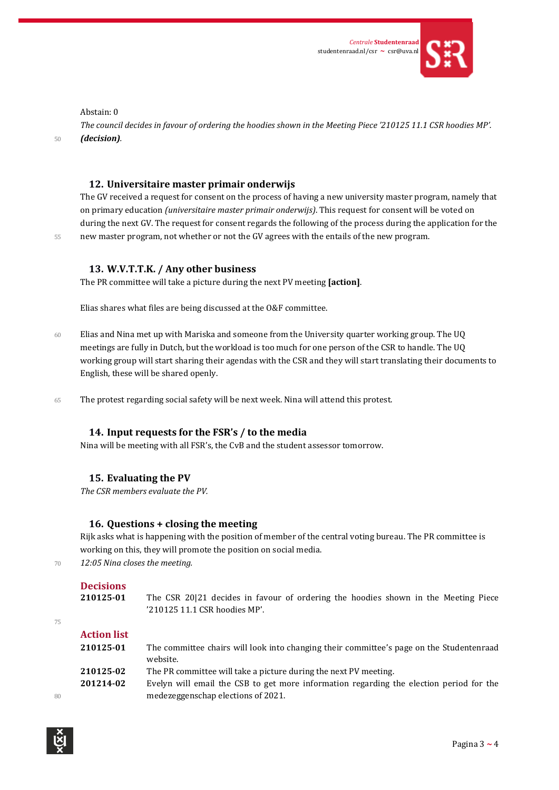

Abstain: 0

*The council decides in favour of ordering the hoodies shown in the Meeting Piece '210125 11.1 CSR hoodies MP'.* <sup>50</sup> *(decision).*

## **12. Universitaire master primair onderwijs**

The GV received a request for consent on the process of having a new university master program, namely that on primary education *(universitaire master primair onderwijs)*. This request for consent will be voted on during the next GV. The request for consent regards the following of the process during the application for the 55 new master program, not whether or not the GV agrees with the entails of the new program.

## **13. W.V.T.T.K. / Any other business**

The PR committee will take a picture during the next PV meeting **[action]**.

Elias shares what files are being discussed at the O&F committee.

- 60 Elias and Nina met up with Mariska and someone from the University quarter working group. The UQ meetings are fully in Dutch, but the workload is too much for one person of the CSR to handle. The UQ working group will start sharing their agendas with the CSR and they will start translating their documents to English, these will be shared openly.
- 65 The protest regarding social safety will be next week. Nina will attend this protest.

## **14. Input requests for the FSR's / to the media**

Nina will be meeting with all FSR's, the CvB and the student assessor tomorrow.

## **15. Evaluating the PV**

*The CSR members evaluate the PV.*

## **16. Questions + closing the meeting**

Rijk asks what is happening with the position of member of the central voting bureau. The PR committee is working on this, they will promote the position on social media.

<sup>70</sup> *12:05 Nina closes the meeting.*

```
Decisions
```

|    | 210125-01          | The CSR 20121 decides in favour of ordering the hoodies shown in the Meeting Piece<br>'210125 11.1 CSR hoodies MP'. |
|----|--------------------|---------------------------------------------------------------------------------------------------------------------|
| 75 |                    |                                                                                                                     |
|    | <b>Action list</b> |                                                                                                                     |
|    | 210125-01          | The committee chairs will look into changing their committee's page on the Studentenraad<br>website.                |
|    | 210125-02          | The PR committee will take a picture during the next PV meeting.                                                    |
|    | 201214-02          | Evelyn will email the CSB to get more information regarding the election period for the                             |
| 80 |                    | medezeggenschap elections of 2021.                                                                                  |
|    |                    |                                                                                                                     |



75